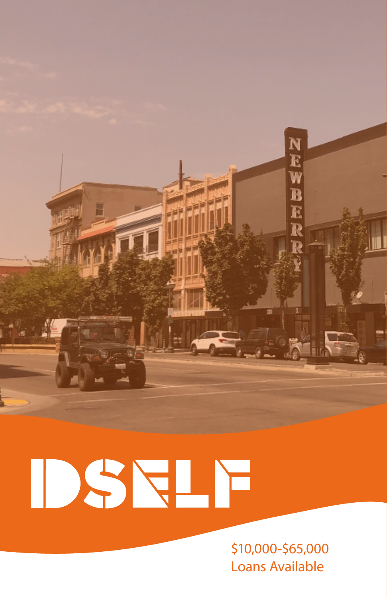

# DSELF

\$10,000-\$65,000 Loans Available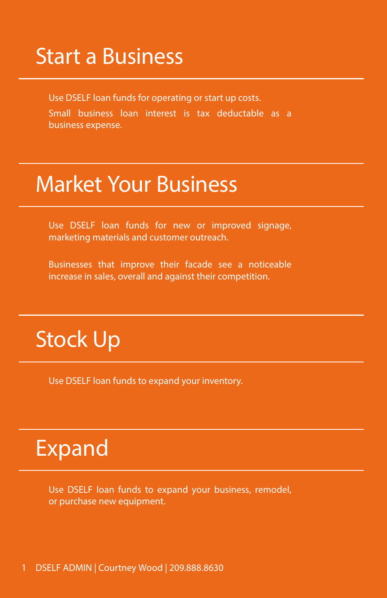## Start a Business

Use DSELF loan funds for operating or start up costs. Small business loan interest is tax deductable as a business expense.

## Market Your Business

Use DSELF loan funds for new or improved signage, marketing materials and customer outreach.

Businesses that improve their facade see a noticeable increase in sales, overall and against their competition.

## Stock Up

Use DSELF loan funds to expand your inventory.

## Expand

Use DSELF loan funds to expand your business, remodel, or purchase new equipment.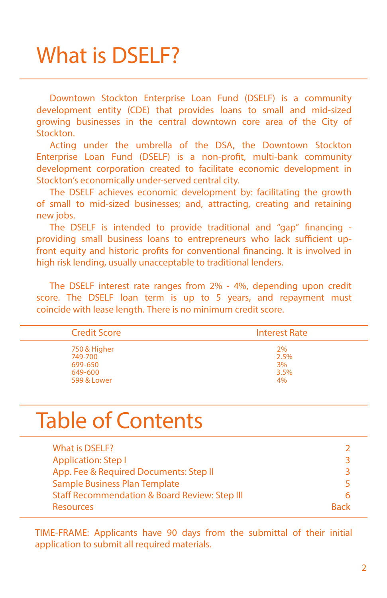## What is DSELF?

Downtown Stockton Enterprise Loan Fund (DSELF) is a community development entity (CDE) that provides loans to small and mid-sized growing businesses in the central downtown core area of the City of Stockton.

Acting under the umbrella of the DSA, the Downtown Stockton Enterprise Loan Fund (DSELF) is a non-profit, multi-bank community development corporation created to facilitate economic development in Stockton's economically under-served central city.

The DSELF achieves economic development by: facilitating the growth of small to mid-sized businesses; and, attracting, creating and retaining new jobs.

The DSELF is intended to provide traditional and "gap" financing providing small business loans to entrepreneurs who lack sufficient upfront equity and historic profits for conventional financing. It is involved in high risk lending, usually unacceptable to traditional lenders.

The DSELF interest rate ranges from 2% - 4%, depending upon credit score. The DSELF loan term is up to 5 years, and repayment must coincide with lease length. There is no minimum credit score.

| <b>Credit Score</b> | <b>Interest Rate</b> |
|---------------------|----------------------|
| 750 & Higher        | <b>2%</b>            |
| 749-700             | 2.5%                 |
| 699-650             | 3%                   |
| 649-600             | 3.5%                 |
| 599 & Lower         | 4%                   |

## Table of Contents

| What is DSELF?                                           |      |
|----------------------------------------------------------|------|
| <b>Application: Step I</b>                               |      |
| App. Fee & Required Documents: Step II                   |      |
| Sample Business Plan Template                            |      |
| <b>Staff Recommendation &amp; Board Review: Step III</b> |      |
| <b>Resources</b>                                         | Rack |

TIME-FRAME: Applicants have 90 days from the submittal of their initial application to submit all required materials.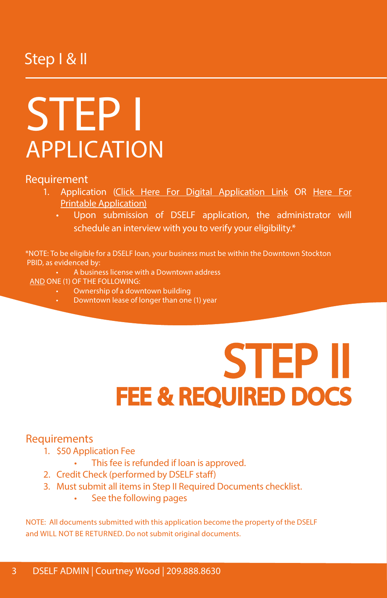#### Step I & II

## STEP I APPLICATION

#### Requirement

- 1. Application (Click Here For Digital Application Link OR Here For Printable Application)
	- Upon submission of DSELF application, the administrator will schedule an interview with you to verify your eligibility.\*

\*NOTE: To be eligible for a DSELF loan, your business must be within the Downtown Stockton PBID, as evidenced by:

- A business license with a Downtown address
- AND ONE (1) OF THE FOLLOWING:
	- Ownership of a downtown building
	- Downtown lease of longer than one (1) year

# STEP II<br>FEE & REQUIRED DOCS

#### Requirements

- 1. \$50 Application Fee
	- This fee is refunded if loan is approved.
- 2. Credit Check (performed by DSELF staff)
- 3. Must submit all items in Step II Required Documents checklist.
	- See the following pages

NOTE: All documents submitted with this application become the property of the DSELF and WILL NOT BE RETURNED. Do not submit original documents.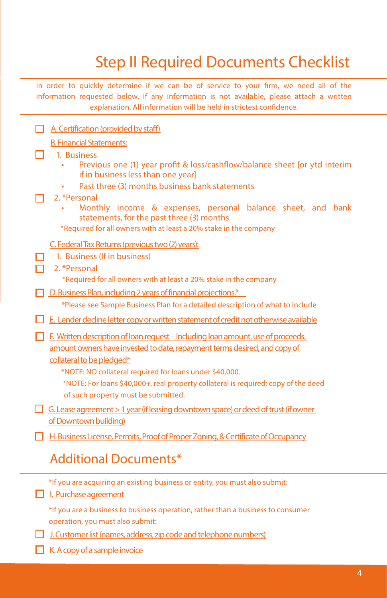### Step II Required Documents Checklist

In order to quickly determine if we can be of service to your firm, we need all of the information requested below. If any information is not available, please attach a written explanation. All information will be held in strictest confidence.

#### $\Box$  A. Certification (provided by staff)

#### B. Financial Statements:

## <u>B. Financial Sta</u><br>
■ 1. Business

- Previous one (1) year profit & loss/cashflow/balance sheet [or ytd interim if in business less than one year]
- Past three (3) months business bank statements

#### п 2. \*Personal

• Monthly income & expenses, personal balance sheet, and bank statements, for the past three (3) months

\*Required for all owners with at least a 20% stake in the company

#### C. Federal Tax Returns (previous two (2) years):

1. Business (If in business)

#### 2. \*Personal

\*Required for all owners with at least a 20% stake in the company

D. Business Plan, including 2 years of financial projections.\*

\*Please see Sample Business Plan for a detailed description of what to include

 $\Box$  E. Lender decline letter copy or written statement of credit not otherwise available

 $\Box$  F. Written description of loan request – Including loan amount, use of proceeds, amount owners have invested to date, repayment terms desired, and copy of collateral to be pledged\*

- \*NOTE: NO collateral required for loans under \$40,000.
- \*NOTE: For loans \$40,000+, real property collateral is required; copy of the deed of such property must be submitted.
- G. Lease agreement  $> 1$  year (if leasing downtown space) or deed of trust (if owner of Downtown building)
- $\Box$  H. Business License, Permits, Proof of Proper Zoning, & Certificate of Occupancy

#### Additional Documents\*

| *If you are acquiring an existing business or entity, you must also submit:<br>I. Purchase agreement                 |
|----------------------------------------------------------------------------------------------------------------------|
| *If you are a business to business operation, rather than a business to consumer<br>operation, you must also submit: |
| $\Box$ J. Customer list (names, address, zip code and telephone numbers)                                             |

 $\Box$  K. A copy of a sample invoice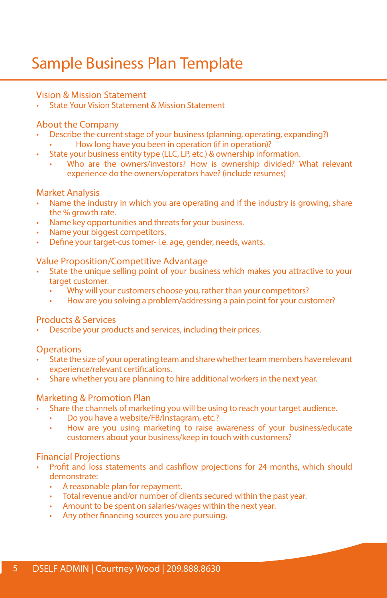### Sample Business Plan Template

#### Vision & Mission Statement

• State Your Vision Statement & Mission Statement

#### About the Company

- Describe the current stage of your business (planning, operating, expanding?)
	- How long have you been in operation (if in operation)?
- State your business entity type (LLC, LP, etc.) & ownership information.
	- Who are the owners/investors? How is ownership divided? What relevant experience do the owners/operators have? (include resumes)

#### Market Analysis

- Name the industry in which you are operating and if the industry is growing, share the % growth rate.
- Name key opportunities and threats for your business.
- Name your biggest competitors.
- Define your target-cus tomer- i.e. age, gender, needs, wants.

#### Value Proposition/Competitive Advantage

- State the unique selling point of your business which makes you attractive to your target customer.
	- Why will your customers choose you, rather than your competitors?
	- How are you solving a problem/addressing a pain point for your customer?

#### Products & Services

• Describe your products and services, including their prices.

**Operations** 

- State the size of your operating team and share whether team members have relevant experience/relevant certifications.
- Share whether you are planning to hire additional workers in the next year.

#### Marketing & Promotion Plan

- Share the channels of marketing you will be using to reach your target audience.
	- Do you have a website/FB/Instagram, etc.?
		- How are you using marketing to raise awareness of your business/educate customers about your business/keep in touch with customers?

#### Financial Projections

- Profit and loss statements and cashflow projections for 24 months, which should demonstrate:
	- A reasonable plan for repayment.
	- Total revenue and/or number of clients secured within the past year.
	- Amount to be spent on salaries/wages within the next year.
	- Any other financing sources you are pursuing.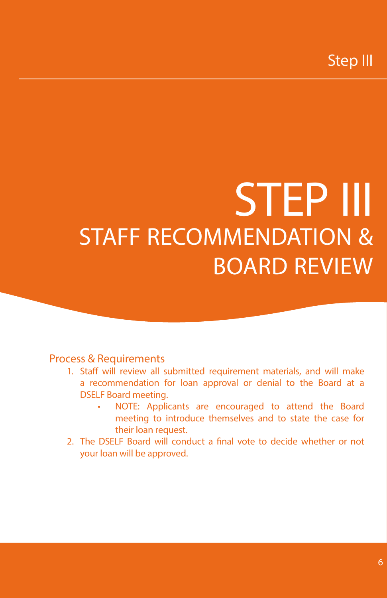## STEP III STAFF RECOMMENDATION & BOARD REVIEW

#### Process & Requirements

- 1. Staff will review all submitted requirement materials, and will make a recommendation for loan approval or denial to the Board at a DSELF Board meeting.
	- NOTE: Applicants are encouraged to attend the Board meeting to introduce themselves and to state the case for their loan request.
- 2. The DSELF Board will conduct a final vote to decide whether or not your loan will be approved.